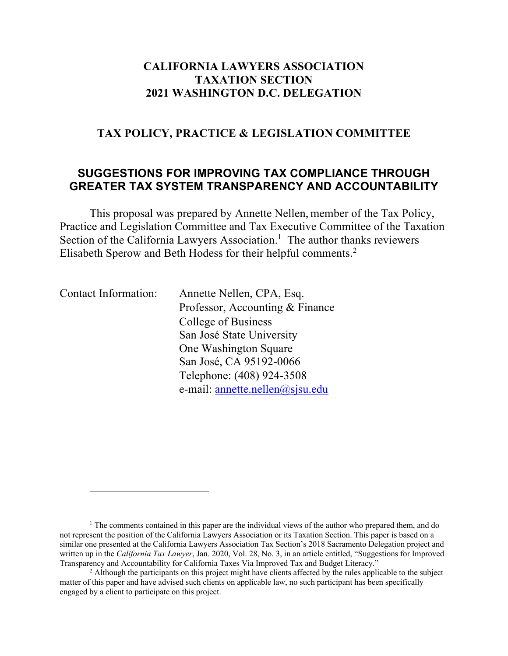## **CALIFORNIA LAWYERS ASSOCIATION TAXATION SECTION 2021 WASHINGTON D.C. DELEGATION**

## **TAX POLICY, PRACTICE & LEGISLATION COMMITTEE**

# **SUGGESTIONS FOR IMPROVING TAX COMPLIANCE THROUGH GREATER TAX SYSTEM TRANSPARENCY AND ACCOUNTABILITY**

This proposal was prepared by Annette Nellen, member of the Tax Policy, Practice and Legislation Committee and Tax Executive Committee of the Taxation Section of the California Lawyers Association.<sup>1</sup> The author thanks reviewers Elisabeth Sperow and Beth Hodess for their helpful comments.2

| <b>Contact Information:</b> | Annette Nellen, CPA, Esq.       |
|-----------------------------|---------------------------------|
|                             | Professor, Accounting & Finance |
|                             | College of Business             |
|                             | San José State University       |
|                             | One Washington Square           |
|                             | San José, CA 95192-0066         |
|                             | Telephone: (408) 924-3508       |
|                             | e-mail: annette.nellen@sjsu.edu |

 $1$ . The comments contained in this paper are the individual views of the author who prepared them, and do not represent the position of the California Lawyers Association or its Taxation Section. This paper is based on a similar one presented at the California Lawyers Association Tax Section's 2018 Sacramento Delegation project and written up in the *California Tax Lawyer*, Jan. 2020, Vol. 28, No. 3, in an article entitled, "Suggestions for Improved Transparency and Accountability for California Taxes Via Improved Tax and Budget Literacy."

<sup>&</sup>lt;sup>2</sup> Although the participants on this project might have clients affected by the rules applicable to the subject matter of this paper and have advised such clients on applicable law, no such participant has been specifically engaged by a client to participate on this project.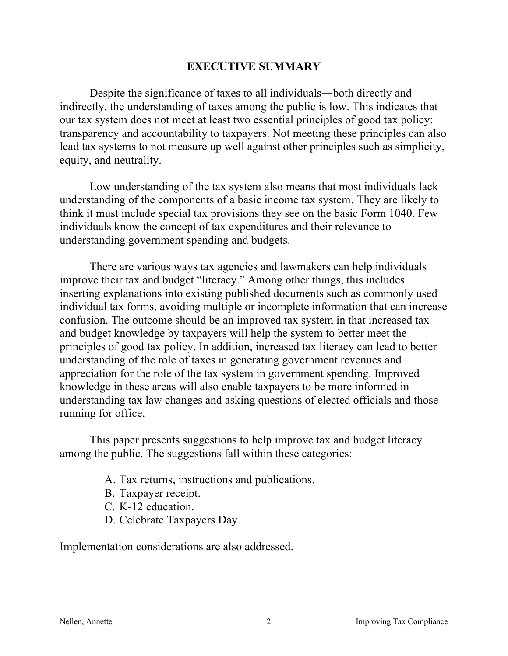## **EXECUTIVE SUMMARY**

Despite the significance of taxes to all individuals―both directly and indirectly, the understanding of taxes among the public is low. This indicates that our tax system does not meet at least two essential principles of good tax policy: transparency and accountability to taxpayers. Not meeting these principles can also lead tax systems to not measure up well against other principles such as simplicity, equity, and neutrality.

Low understanding of the tax system also means that most individuals lack understanding of the components of a basic income tax system. They are likely to think it must include special tax provisions they see on the basic Form 1040. Few individuals know the concept of tax expenditures and their relevance to understanding government spending and budgets.

There are various ways tax agencies and lawmakers can help individuals improve their tax and budget "literacy." Among other things, this includes inserting explanations into existing published documents such as commonly used individual tax forms, avoiding multiple or incomplete information that can increase confusion. The outcome should be an improved tax system in that increased tax and budget knowledge by taxpayers will help the system to better meet the principles of good tax policy. In addition, increased tax literacy can lead to better understanding of the role of taxes in generating government revenues and appreciation for the role of the tax system in government spending. Improved knowledge in these areas will also enable taxpayers to be more informed in understanding tax law changes and asking questions of elected officials and those running for office.

This paper presents suggestions to help improve tax and budget literacy among the public. The suggestions fall within these categories:

- A. Tax returns, instructions and publications.
- B. Taxpayer receipt.
- C. K-12 education.
- D. Celebrate Taxpayers Day.

Implementation considerations are also addressed.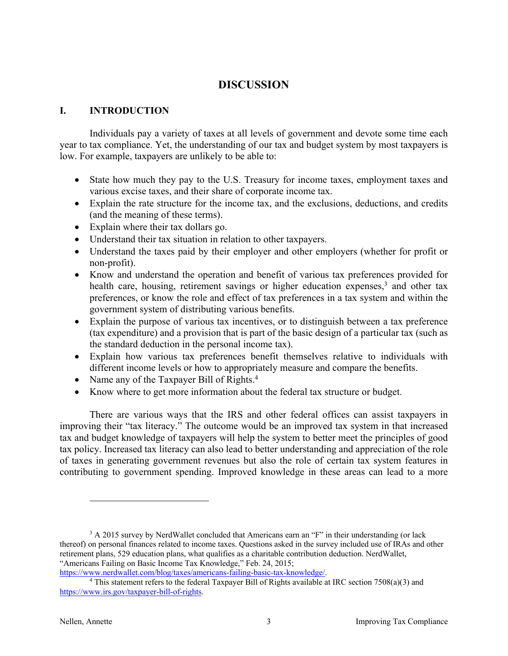## **DISCUSSION**

#### **I. INTRODUCTION**

Individuals pay a variety of taxes at all levels of government and devote some time each year to tax compliance. Yet, the understanding of our tax and budget system by most taxpayers is low. For example, taxpayers are unlikely to be able to:

- State how much they pay to the U.S. Treasury for income taxes, employment taxes and various excise taxes, and their share of corporate income tax.
- Explain the rate structure for the income tax, and the exclusions, deductions, and credits (and the meaning of these terms).
- Explain where their tax dollars go.
- Understand their tax situation in relation to other taxpayers.
- Understand the taxes paid by their employer and other employers (whether for profit or non-profit).
- Know and understand the operation and benefit of various tax preferences provided for health care, housing, retirement savings or higher education expenses,<sup>3</sup> and other tax preferences, or know the role and effect of tax preferences in a tax system and within the government system of distributing various benefits.
- Explain the purpose of various tax incentives, or to distinguish between a tax preference (tax expenditure) and a provision that is part of the basic design of a particular tax (such as the standard deduction in the personal income tax).
- Explain how various tax preferences benefit themselves relative to individuals with different income levels or how to appropriately measure and compare the benefits.
- Name any of the Taxpayer Bill of Rights.<sup>4</sup>
- Know where to get more information about the federal tax structure or budget.

There are various ways that the IRS and other federal offices can assist taxpayers in improving their "tax literacy." The outcome would be an improved tax system in that increased tax and budget knowledge of taxpayers will help the system to better meet the principles of good tax policy. Increased tax literacy can also lead to better understanding and appreciation of the role of taxes in generating government revenues but also the role of certain tax system features in contributing to government spending. Improved knowledge in these areas can lead to a more

 $3$  A 2015 survey by NerdWallet concluded that Americans earn an "F" in their understanding (or lack thereof) on personal finances related to income taxes. Questions asked in the survey included use of IRAs and other retirement plans, 529 education plans, what qualifies as a charitable contribution deduction. NerdWallet, "Americans Failing on Basic Income Tax Knowledge," Feb. 24, 2015;

https://www.nerdwallet.com/blog/taxes/americans-failing-basic-tax-knowledge/.<br><sup>4</sup> This statement refers to the federal Taxpayer Bill of Rights available at IRC section 7508(a)(3) and https://www.irs.gov/taxpayer-bill-of-rights.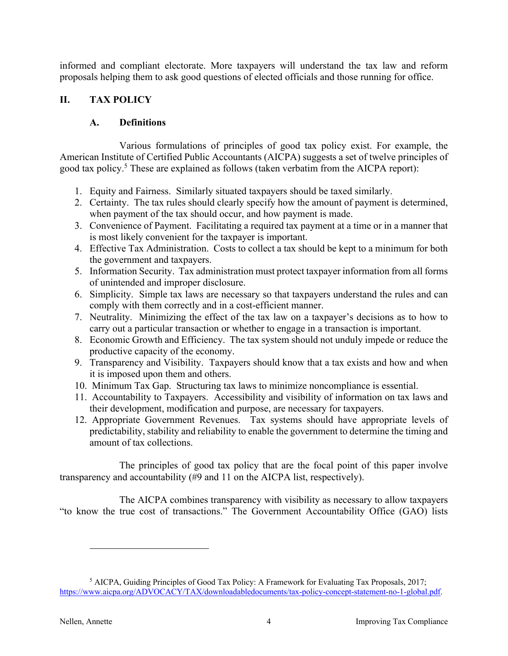informed and compliant electorate. More taxpayers will understand the tax law and reform proposals helping them to ask good questions of elected officials and those running for office.

### **II. TAX POLICY**

#### **A. Definitions**

Various formulations of principles of good tax policy exist. For example, the American Institute of Certified Public Accountants (AICPA) suggests a set of twelve principles of good tax policy.<sup>5</sup> These are explained as follows (taken verbatim from the AICPA report):

- 1. Equity and Fairness. Similarly situated taxpayers should be taxed similarly.
- 2. Certainty. The tax rules should clearly specify how the amount of payment is determined, when payment of the tax should occur, and how payment is made.
- 3. Convenience of Payment. Facilitating a required tax payment at a time or in a manner that is most likely convenient for the taxpayer is important.
- 4. Effective Tax Administration. Costs to collect a tax should be kept to a minimum for both the government and taxpayers.
- 5. Information Security. Tax administration must protect taxpayer information from all forms of unintended and improper disclosure.
- 6. Simplicity. Simple tax laws are necessary so that taxpayers understand the rules and can comply with them correctly and in a cost-efficient manner.
- 7. Neutrality. Minimizing the effect of the tax law on a taxpayer's decisions as to how to carry out a particular transaction or whether to engage in a transaction is important.
- 8. Economic Growth and Efficiency. The tax system should not unduly impede or reduce the productive capacity of the economy.
- 9. Transparency and Visibility. Taxpayers should know that a tax exists and how and when it is imposed upon them and others.
- 10. Minimum Tax Gap. Structuring tax laws to minimize noncompliance is essential.
- 11. Accountability to Taxpayers. Accessibility and visibility of information on tax laws and their development, modification and purpose, are necessary for taxpayers.
- 12. Appropriate Government Revenues. Tax systems should have appropriate levels of predictability, stability and reliability to enable the government to determine the timing and amount of tax collections.

The principles of good tax policy that are the focal point of this paper involve transparency and accountability (#9 and 11 on the AICPA list, respectively).

The AICPA combines transparency with visibility as necessary to allow taxpayers "to know the true cost of transactions." The Government Accountability Office (GAO) lists

<sup>5</sup> AICPA, Guiding Principles of Good Tax Policy: A Framework for Evaluating Tax Proposals, 2017; https://www.aicpa.org/ADVOCACY/TAX/downloadabledocuments/tax-policy-concept-statement-no-1-global.pdf.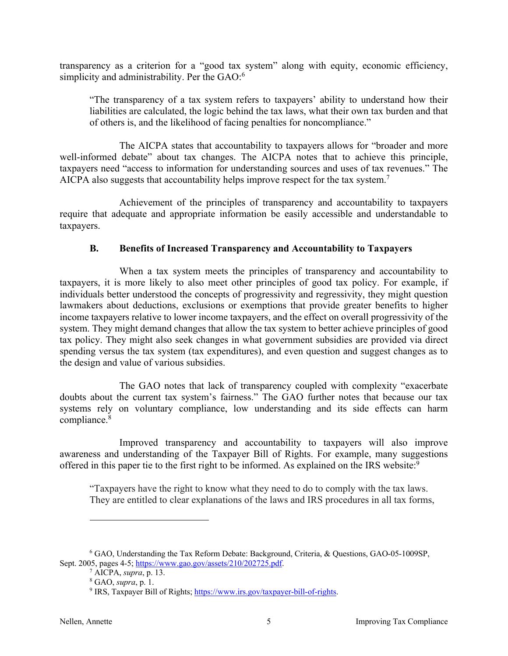transparency as a criterion for a "good tax system" along with equity, economic efficiency, simplicity and administrability. Per the GAO:<sup>6</sup>

"The transparency of a tax system refers to taxpayers' ability to understand how their liabilities are calculated, the logic behind the tax laws, what their own tax burden and that of others is, and the likelihood of facing penalties for noncompliance."

The AICPA states that accountability to taxpayers allows for "broader and more well-informed debate" about tax changes. The AICPA notes that to achieve this principle, taxpayers need "access to information for understanding sources and uses of tax revenues." The AICPA also suggests that accountability helps improve respect for the tax system.<sup>7</sup>

Achievement of the principles of transparency and accountability to taxpayers require that adequate and appropriate information be easily accessible and understandable to taxpayers.

#### **B. Benefits of Increased Transparency and Accountability to Taxpayers**

When a tax system meets the principles of transparency and accountability to taxpayers, it is more likely to also meet other principles of good tax policy. For example, if individuals better understood the concepts of progressivity and regressivity, they might question lawmakers about deductions, exclusions or exemptions that provide greater benefits to higher income taxpayers relative to lower income taxpayers, and the effect on overall progressivity of the system. They might demand changes that allow the tax system to better achieve principles of good tax policy. They might also seek changes in what government subsidies are provided via direct spending versus the tax system (tax expenditures), and even question and suggest changes as to the design and value of various subsidies.

The GAO notes that lack of transparency coupled with complexity "exacerbate doubts about the current tax system's fairness." The GAO further notes that because our tax systems rely on voluntary compliance, low understanding and its side effects can harm compliance.8

Improved transparency and accountability to taxpayers will also improve awareness and understanding of the Taxpayer Bill of Rights. For example, many suggestions offered in this paper tie to the first right to be informed. As explained on the IRS website:<sup>9</sup>

"Taxpayers have the right to know what they need to do to comply with the tax laws. They are entitled to clear explanations of the laws and IRS procedures in all tax forms,

<sup>6</sup> GAO, Understanding the Tax Reform Debate: Background, Criteria, & Questions, GAO-05-1009SP, Sept. 2005, pages 4-5; https://www.gao.gov/assets/210/202725.pdf. 7 AICPA, *supra*, p. 13.

<sup>8</sup> GAO, *supra*, p. 1.

<sup>&</sup>lt;sup>9</sup> IRS, Taxpayer Bill of Rights; https://www.irs.gov/taxpayer-bill-of-rights.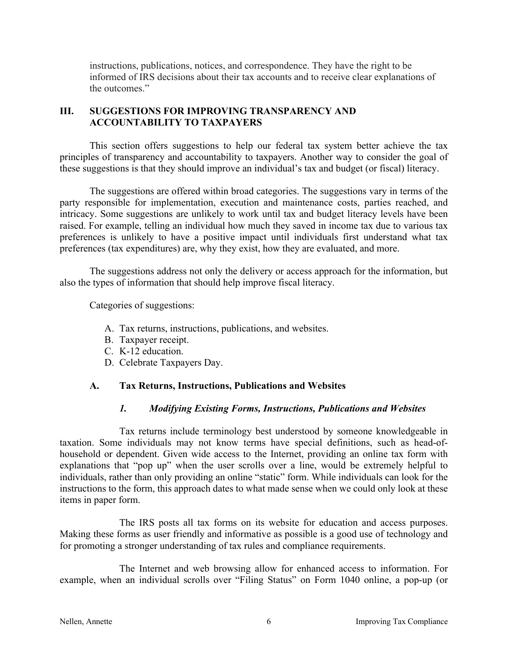instructions, publications, notices, and correspondence. They have the right to be informed of IRS decisions about their tax accounts and to receive clear explanations of the outcomes."

### **III. SUGGESTIONS FOR IMPROVING TRANSPARENCY AND ACCOUNTABILITY TO TAXPAYERS**

This section offers suggestions to help our federal tax system better achieve the tax principles of transparency and accountability to taxpayers. Another way to consider the goal of these suggestions is that they should improve an individual's tax and budget (or fiscal) literacy.

The suggestions are offered within broad categories. The suggestions vary in terms of the party responsible for implementation, execution and maintenance costs, parties reached, and intricacy. Some suggestions are unlikely to work until tax and budget literacy levels have been raised. For example, telling an individual how much they saved in income tax due to various tax preferences is unlikely to have a positive impact until individuals first understand what tax preferences (tax expenditures) are, why they exist, how they are evaluated, and more.

The suggestions address not only the delivery or access approach for the information, but also the types of information that should help improve fiscal literacy.

Categories of suggestions:

- A. Tax returns, instructions, publications, and websites.
- B. Taxpayer receipt.
- C. K-12 education.
- D. Celebrate Taxpayers Day.

#### **A. Tax Returns, Instructions, Publications and Websites**

#### *1. Modifying Existing Forms, Instructions, Publications and Websites*

Tax returns include terminology best understood by someone knowledgeable in taxation. Some individuals may not know terms have special definitions, such as head-ofhousehold or dependent. Given wide access to the Internet, providing an online tax form with explanations that "pop up" when the user scrolls over a line, would be extremely helpful to individuals, rather than only providing an online "static" form. While individuals can look for the instructions to the form, this approach dates to what made sense when we could only look at these items in paper form.

The IRS posts all tax forms on its website for education and access purposes. Making these forms as user friendly and informative as possible is a good use of technology and for promoting a stronger understanding of tax rules and compliance requirements.

The Internet and web browsing allow for enhanced access to information. For example, when an individual scrolls over "Filing Status" on Form 1040 online, a pop-up (or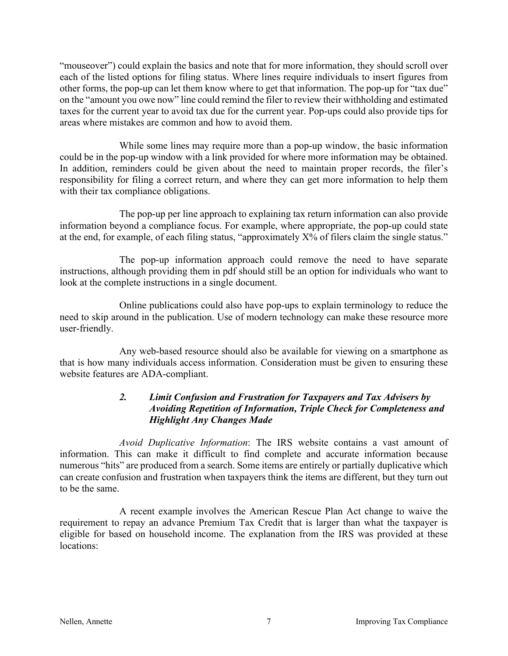"mouseover") could explain the basics and note that for more information, they should scroll over each of the listed options for filing status. Where lines require individuals to insert figures from other forms, the pop-up can let them know where to get that information. The pop-up for "tax due" on the "amount you owe now" line could remind the filer to review their withholding and estimated taxes for the current year to avoid tax due for the current year. Pop-ups could also provide tips for areas where mistakes are common and how to avoid them.

While some lines may require more than a pop-up window, the basic information could be in the pop-up window with a link provided for where more information may be obtained. In addition, reminders could be given about the need to maintain proper records, the filer's responsibility for filing a correct return, and where they can get more information to help them with their tax compliance obligations.

The pop-up per line approach to explaining tax return information can also provide information beyond a compliance focus. For example, where appropriate, the pop-up could state at the end, for example, of each filing status, "approximately X% of filers claim the single status."

The pop-up information approach could remove the need to have separate instructions, although providing them in pdf should still be an option for individuals who want to look at the complete instructions in a single document.

Online publications could also have pop-ups to explain terminology to reduce the need to skip around in the publication. Use of modern technology can make these resource more user-friendly.

Any web-based resource should also be available for viewing on a smartphone as that is how many individuals access information. Consideration must be given to ensuring these website features are ADA-compliant.

#### *2. Limit Confusion and Frustration for Taxpayers and Tax Advisers by Avoiding Repetition of Information, Triple Check for Completeness and Highlight Any Changes Made*

*Avoid Duplicative Information*: The IRS website contains a vast amount of information. This can make it difficult to find complete and accurate information because numerous "hits" are produced from a search. Some items are entirely or partially duplicative which can create confusion and frustration when taxpayers think the items are different, but they turn out to be the same.

A recent example involves the American Rescue Plan Act change to waive the requirement to repay an advance Premium Tax Credit that is larger than what the taxpayer is eligible for based on household income. The explanation from the IRS was provided at these locations: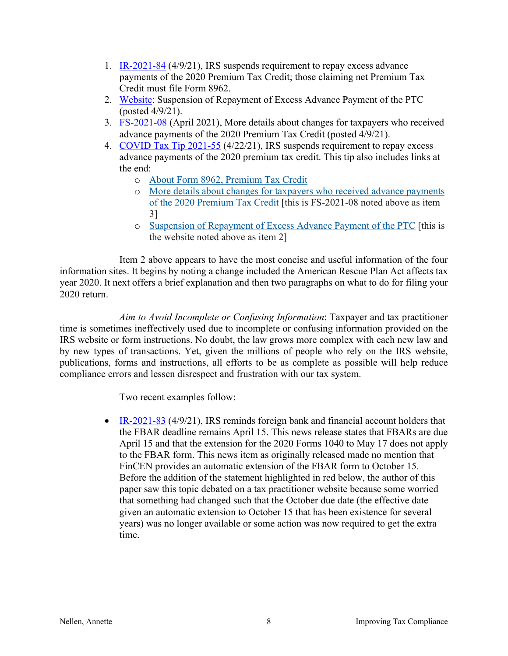- 1. IR-2021-84 (4/9/21), IRS suspends requirement to repay excess advance payments of the 2020 Premium Tax Credit; those claiming net Premium Tax Credit must file Form 8962.
- 2. Website: Suspension of Repayment of Excess Advance Payment of the PTC (posted 4/9/21).
- 3. FS-2021-08 (April 2021), More details about changes for taxpayers who received advance payments of the 2020 Premium Tax Credit (posted 4/9/21).
- 4. COVID Tax Tip 2021-55 (4/22/21), IRS suspends requirement to repay excess advance payments of the 2020 premium tax credit. This tip also includes links at the end:
	- o About Form 8962, Premium Tax Credit
	- o More details about changes for taxpayers who received advance payments of the 2020 Premium Tax Credit [this is FS-2021-08 noted above as item 3]
	- o Suspension of Repayment of Excess Advance Payment of the PTC [this is the website noted above as item 2]

Item 2 above appears to have the most concise and useful information of the four information sites. It begins by noting a change included the American Rescue Plan Act affects tax year 2020. It next offers a brief explanation and then two paragraphs on what to do for filing your 2020 return.

*Aim to Avoid Incomplete or Confusing Information*: Taxpayer and tax practitioner time is sometimes ineffectively used due to incomplete or confusing information provided on the IRS website or form instructions. No doubt, the law grows more complex with each new law and by new types of transactions. Yet, given the millions of people who rely on the IRS website, publications, forms and instructions, all efforts to be as complete as possible will help reduce compliance errors and lessen disrespect and frustration with our tax system.

Two recent examples follow:

• IR-2021-83 (4/9/21), IRS reminds foreign bank and financial account holders that the FBAR deadline remains April 15. This news release states that FBARs are due April 15 and that the extension for the 2020 Forms 1040 to May 17 does not apply to the FBAR form. This news item as originally released made no mention that FinCEN provides an automatic extension of the FBAR form to October 15. Before the addition of the statement highlighted in red below, the author of this paper saw this topic debated on a tax practitioner website because some worried that something had changed such that the October due date (the effective date given an automatic extension to October 15 that has been existence for several years) was no longer available or some action was now required to get the extra time.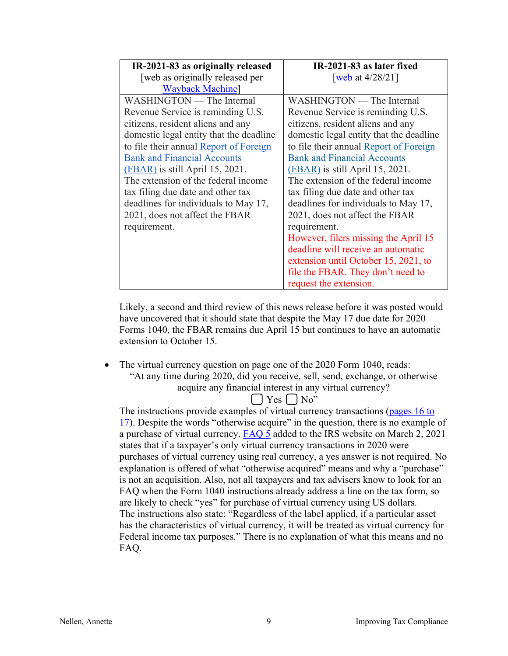| IR-2021-83 as originally released       | IR-2021-83 as later fixed               |
|-----------------------------------------|-----------------------------------------|
| [web as originally released per         | [web at $4/28/21$ ]                     |
| <b>Wayback Machine</b>                  |                                         |
| WASHINGTON — The Internal               | WASHINGTON — The Internal               |
| Revenue Service is reminding U.S.       | Revenue Service is reminding U.S.       |
| citizens, resident aliens and any       | citizens, resident aliens and any       |
| domestic legal entity that the deadline | domestic legal entity that the deadline |
| to file their annual Report of Foreign  | to file their annual Report of Foreign  |
| <b>Bank and Financial Accounts</b>      | <b>Bank and Financial Accounts</b>      |
| $(FBAR)$ is still April 15, 2021.       | $(FBAR)$ is still April 15, 2021.       |
| The extension of the federal income     | The extension of the federal income     |
| tax filing due date and other tax       | tax filing due date and other tax       |
| deadlines for individuals to May 17,    | deadlines for individuals to May 17,    |
| 2021, does not affect the FBAR          | 2021, does not affect the FBAR          |
| requirement.                            | requirement.                            |
|                                         | However, filers missing the April 15    |
|                                         | deadline will receive an automatic      |
|                                         | extension until October 15, 2021, to    |
|                                         | file the FBAR. They don't need to       |
|                                         | request the extension.                  |

Likely, a second and third review of this news release before it was posted would have uncovered that it should state that despite the May 17 due date for 2020 Forms 1040, the FBAR remains due April 15 but continues to have an automatic extension to October 15.

• The virtual currency question on page one of the 2020 Form 1040, reads:

"At any time during 2020, did you receive, sell, send, exchange, or otherwise acquire any financial interest in any virtual currency?

 $\lceil$  | Yes  $\lceil$  | No"

The instructions provide examples of virtual currency transactions (pages 16 to 17). Despite the words "otherwise acquire" in the question, there is no example of a purchase of virtual currency. FAQ 5 added to the IRS website on March 2, 2021 states that if a taxpayer's only virtual currency transactions in 2020 were purchases of virtual currency using real currency, a yes answer is not required. No explanation is offered of what "otherwise acquired" means and why a "purchase" is not an acquisition. Also, not all taxpayers and tax advisers know to look for an FAQ when the Form 1040 instructions already address a line on the tax form, so are likely to check "yes" for purchase of virtual currency using US dollars. The instructions also state: "Regardless of the label applied, if a particular asset has the characteristics of virtual currency, it will be treated as virtual currency for Federal income tax purposes." There is no explanation of what this means and no FAQ.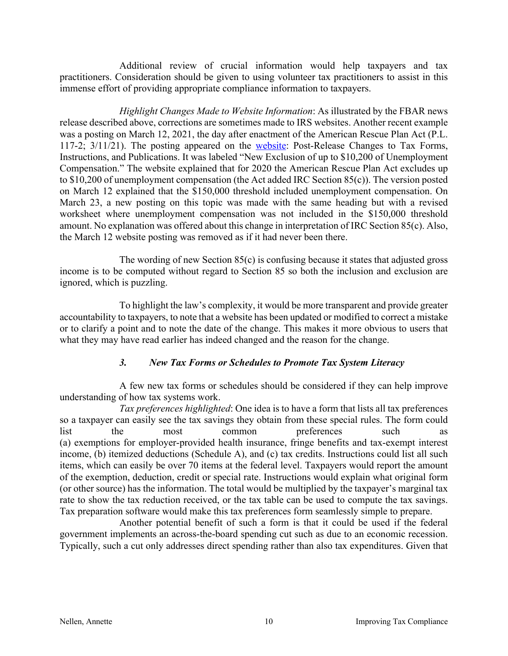Additional review of crucial information would help taxpayers and tax practitioners. Consideration should be given to using volunteer tax practitioners to assist in this immense effort of providing appropriate compliance information to taxpayers.

*Highlight Changes Made to Website Information*: As illustrated by the FBAR news release described above, corrections are sometimes made to IRS websites. Another recent example was a posting on March 12, 2021, the day after enactment of the American Rescue Plan Act (P.L. 117-2; 3/11/21). The posting appeared on the website: Post-Release Changes to Tax Forms, Instructions, and Publications. It was labeled "New Exclusion of up to \$10,200 of Unemployment Compensation." The website explained that for 2020 the American Rescue Plan Act excludes up to \$10,200 of unemployment compensation (the Act added IRC Section 85(c)). The version posted on March 12 explained that the \$150,000 threshold included unemployment compensation. On March 23, a new posting on this topic was made with the same heading but with a revised worksheet where unemployment compensation was not included in the \$150,000 threshold amount. No explanation was offered about this change in interpretation of IRC Section 85(c). Also, the March 12 website posting was removed as if it had never been there.

The wording of new Section 85(c) is confusing because it states that adjusted gross income is to be computed without regard to Section 85 so both the inclusion and exclusion are ignored, which is puzzling.

To highlight the law's complexity, it would be more transparent and provide greater accountability to taxpayers, to note that a website has been updated or modified to correct a mistake or to clarify a point and to note the date of the change. This makes it more obvious to users that what they may have read earlier has indeed changed and the reason for the change.

#### *3. New Tax Forms or Schedules to Promote Tax System Literacy*

A few new tax forms or schedules should be considered if they can help improve understanding of how tax systems work.

*Tax preferences highlighted*: One idea is to have a form that lists all tax preferences so a taxpayer can easily see the tax savings they obtain from these special rules. The form could list the most common preferences such as (a) exemptions for employer-provided health insurance, fringe benefits and tax-exempt interest income, (b) itemized deductions (Schedule A), and (c) tax credits. Instructions could list all such items, which can easily be over 70 items at the federal level. Taxpayers would report the amount of the exemption, deduction, credit or special rate. Instructions would explain what original form (or other source) has the information. The total would be multiplied by the taxpayer's marginal tax rate to show the tax reduction received, or the tax table can be used to compute the tax savings. Tax preparation software would make this tax preferences form seamlessly simple to prepare.

Another potential benefit of such a form is that it could be used if the federal government implements an across-the-board spending cut such as due to an economic recession. Typically, such a cut only addresses direct spending rather than also tax expenditures. Given that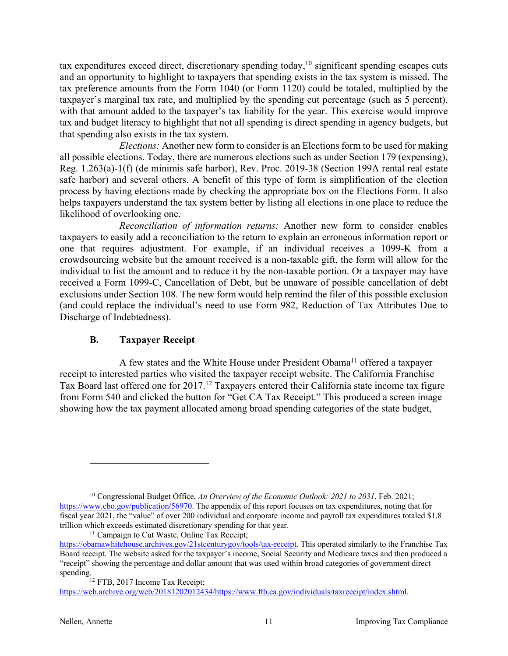tax expenditures exceed direct, discretionary spending today,<sup>10</sup> significant spending escapes cuts and an opportunity to highlight to taxpayers that spending exists in the tax system is missed. The tax preference amounts from the Form 1040 (or Form 1120) could be totaled, multiplied by the taxpayer's marginal tax rate, and multiplied by the spending cut percentage (such as 5 percent), with that amount added to the taxpayer's tax liability for the year. This exercise would improve tax and budget literacy to highlight that not all spending is direct spending in agency budgets, but that spending also exists in the tax system.

*Elections:* Another new form to consider is an Elections form to be used for making all possible elections. Today, there are numerous elections such as under Section 179 (expensing), Reg. 1.263(a)-1(f) (de minimis safe harbor), Rev. Proc. 2019-38 (Section 199A rental real estate safe harbor) and several others. A benefit of this type of form is simplification of the election process by having elections made by checking the appropriate box on the Elections Form. It also helps taxpayers understand the tax system better by listing all elections in one place to reduce the likelihood of overlooking one.

*Reconciliation of information returns:* Another new form to consider enables taxpayers to easily add a reconciliation to the return to explain an erroneous information report or one that requires adjustment. For example, if an individual receives a 1099-K from a crowdsourcing website but the amount received is a non-taxable gift, the form will allow for the individual to list the amount and to reduce it by the non-taxable portion. Or a taxpayer may have received a Form 1099-C, Cancellation of Debt, but be unaware of possible cancellation of debt exclusions under Section 108. The new form would help remind the filer of this possible exclusion (and could replace the individual's need to use Form 982, Reduction of Tax Attributes Due to Discharge of Indebtedness).

#### **B. Taxpayer Receipt**

A few states and the White House under President Obama<sup>11</sup> offered a taxpayer receipt to interested parties who visited the taxpayer receipt website. The California Franchise Tax Board last offered one for 2017.12 Taxpayers entered their California state income tax figure from Form 540 and clicked the button for "Get CA Tax Receipt." This produced a screen image showing how the tax payment allocated among broad spending categories of the state budget,

<sup>10</sup> Congressional Budget Office, *An Overview of the Economic Outlook: 2021 to 2031*, Feb. 2021; https://www.cbo.gov/publication/56970. The appendix of this report focuses on tax expenditures, noting that for fiscal year 2021, the "value" of over 200 individual and corporate income and payroll tax expenditures totaled \$1.8 trillion which exceeds estimated discretionary spending for that year. <sup>11</sup> Campaign to Cut Waste, Online Tax Receipt;

https://obamawhitehouse.archives.gov/21stcenturygov/tools/tax-receipt. This operated similarly to the Franchise Tax Board receipt. The website asked for the taxpayer's income, Social Security and Medicare taxes and then produced a "receipt" showing the percentage and dollar amount that was used within broad categories of government direct

spending.<br><sup>12</sup> FTB, 2017 Income Tax Receipt; https://web.archive.org/web/20181202012434/https://www.ftb.ca.gov/individuals/taxreceipt/index.shtml.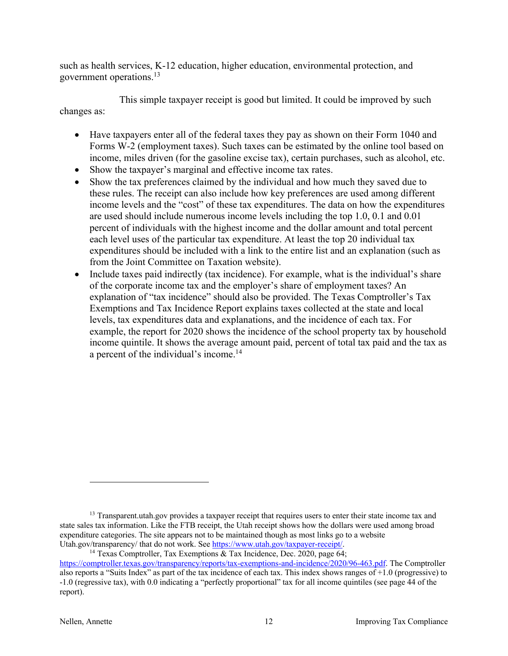such as health services, K-12 education, higher education, environmental protection, and government operations.13

This simple taxpayer receipt is good but limited. It could be improved by such changes as:

- Have taxpayers enter all of the federal taxes they pay as shown on their Form 1040 and Forms W-2 (employment taxes). Such taxes can be estimated by the online tool based on income, miles driven (for the gasoline excise tax), certain purchases, such as alcohol, etc.
- Show the taxpayer's marginal and effective income tax rates.
- Show the tax preferences claimed by the individual and how much they saved due to these rules. The receipt can also include how key preferences are used among different income levels and the "cost" of these tax expenditures. The data on how the expenditures are used should include numerous income levels including the top 1.0, 0.1 and 0.01 percent of individuals with the highest income and the dollar amount and total percent each level uses of the particular tax expenditure. At least the top 20 individual tax expenditures should be included with a link to the entire list and an explanation (such as from the Joint Committee on Taxation website).
- Include taxes paid indirectly (tax incidence). For example, what is the individual's share of the corporate income tax and the employer's share of employment taxes? An explanation of "tax incidence" should also be provided. The Texas Comptroller's Tax Exemptions and Tax Incidence Report explains taxes collected at the state and local levels, tax expenditures data and explanations, and the incidence of each tax. For example, the report for 2020 shows the incidence of the school property tax by household income quintile. It shows the average amount paid, percent of total tax paid and the tax as a percent of the individual's income.<sup>14</sup>

<sup>&</sup>lt;sup>13</sup> Transparent.utah.gov provides a taxpayer receipt that requires users to enter their state income tax and state sales tax information. Like the FTB receipt, the Utah receipt shows how the dollars were used among broad expenditure categories. The site appears not to be maintained though as most links go to a website<br>Utah.gov/transparency/ that do not work. See https://www.utah.gov/taxpayer-receipt/.

<sup>&</sup>lt;sup>14</sup> Texas Comptroller, Tax Exemptions & Tax Incidence, Dec. 2020, page 64; https://comptroller.texas.gov/transparency/reports/tax-exemptions-and-incidence/2020/96-463.pdf. The Comptroller also reports a "Suits Index" as part of the tax incidence of each tax. This index shows ranges of  $+1.0$  (progressive) to -1.0 (regressive tax), with 0.0 indicating a "perfectly proportional" tax for all income quintiles (see page 44 of the report).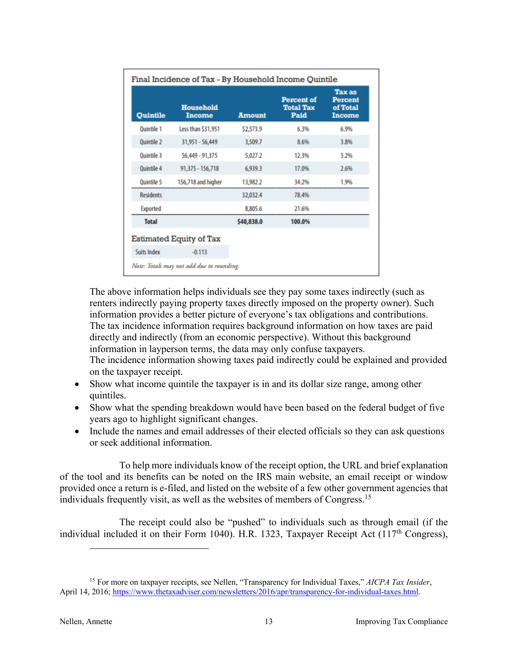| Quintile           | <b>Household</b><br><b>Income</b> | <b>Amount</b> | <b>Percent of</b><br><b>Total Tax</b><br>Paid | <b>Tax as</b><br><b>Percent</b><br>of Total<br><b>Income</b> |
|--------------------|-----------------------------------|---------------|-----------------------------------------------|--------------------------------------------------------------|
| <b>Ouintile 1</b>  | Less than \$31,951                | \$2,573.9     | 6.3%                                          | 6.9%                                                         |
| <b>Ouintile 2</b>  | 31,951 - 56,449                   | 3,509.7       | 8.6%                                          | 3.8%                                                         |
| <b>Ouintile 3</b>  | 56,449 - 91,375                   | 5,027.2       | 12.3%                                         | 3.2%                                                         |
| <b>Ouintile 4</b>  | 91,375 - 156,718                  | 6,939.3       | 17.0%                                         | 2.6%                                                         |
| <b>Ouintile 5</b>  | 156,718 and higher                | 13,982.2      | 34.2%                                         | 1.9%                                                         |
| <b>Residents</b>   |                                   | 32,032.4      | 78.4%                                         |                                                              |
| Exported           |                                   | 8,805.6       | 21.6%                                         |                                                              |
| <b>Total</b>       |                                   | \$40,838.0    | 100.0%                                        |                                                              |
|                    | Estimated Equity of Tax           |               |                                               |                                                              |
| <b>Suits Index</b> | $-0.113$                          |               |                                               |                                                              |

The above information helps individuals see they pay some taxes indirectly (such as renters indirectly paying property taxes directly imposed on the property owner). Such information provides a better picture of everyone's tax obligations and contributions. The tax incidence information requires background information on how taxes are paid directly and indirectly (from an economic perspective). Without this background information in layperson terms, the data may only confuse taxpayers. The incidence information showing taxes paid indirectly could be explained and provided

- on the taxpayer receipt. • Show what income quintile the taxpayer is in and its dollar size range, among other quintiles.
- Show what the spending breakdown would have been based on the federal budget of five years ago to highlight significant changes.
- Include the names and email addresses of their elected officials so they can ask questions or seek additional information.

To help more individuals know of the receipt option, the URL and brief explanation of the tool and its benefits can be noted on the IRS main website, an email receipt or window provided once a return is e-filed, and listed on the website of a few other government agencies that individuals frequently visit, as well as the websites of members of Congress. 15

The receipt could also be "pushed" to individuals such as through email (if the individual included it on their Form 1040). H.R. 1323, Taxpayer Receipt Act  $(117<sup>th</sup> Congress)$ ,

<sup>15</sup> For more on taxpayer receipts, see Nellen, "Transparency for Individual Taxes," *AICPA Tax Insider*, April 14, 2016; https://www.thetaxadviser.com/newsletters/2016/apr/transparency-for-individual-taxes.html.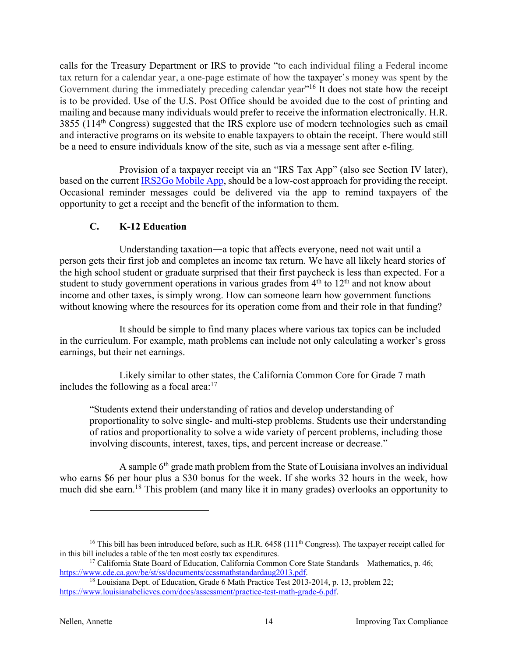calls for the Treasury Department or IRS to provide "to each individual filing a Federal income tax return for a calendar year, a one-page estimate of how the taxpayer's money was spent by the Government during the immediately preceding calendar year"<sup>16</sup> It does not state how the receipt is to be provided. Use of the U.S. Post Office should be avoided due to the cost of printing and mailing and because many individuals would prefer to receive the information electronically. H.R. 3855 (114th Congress) suggested that the IRS explore use of modern technologies such as email and interactive programs on its website to enable taxpayers to obtain the receipt. There would still be a need to ensure individuals know of the site, such as via a message sent after e-filing.

Provision of a taxpayer receipt via an "IRS Tax App" (also see Section IV later), based on the current IRS2Go Mobile App, should be a low-cost approach for providing the receipt. Occasional reminder messages could be delivered via the app to remind taxpayers of the opportunity to get a receipt and the benefit of the information to them.

### **C. K-12 Education**

Understanding taxation―a topic that affects everyone, need not wait until a person gets their first job and completes an income tax return. We have all likely heard stories of the high school student or graduate surprised that their first paycheck is less than expected. For a student to study government operations in various grades from  $4<sup>th</sup>$  to  $12<sup>th</sup>$  and not know about income and other taxes, is simply wrong. How can someone learn how government functions without knowing where the resources for its operation come from and their role in that funding?

It should be simple to find many places where various tax topics can be included in the curriculum. For example, math problems can include not only calculating a worker's gross earnings, but their net earnings.

Likely similar to other states, the California Common Core for Grade 7 math includes the following as a focal area: $17$ 

"Students extend their understanding of ratios and develop understanding of proportionality to solve single- and multi-step problems. Students use their understanding of ratios and proportionality to solve a wide variety of percent problems, including those involving discounts, interest, taxes, tips, and percent increase or decrease."

A sample 6<sup>th</sup> grade math problem from the State of Louisiana involves an individual who earns \$6 per hour plus a \$30 bonus for the week. If she works 32 hours in the week, how much did she earn.<sup>18</sup> This problem (and many like it in many grades) overlooks an opportunity to

<sup>&</sup>lt;sup>16</sup> This bill has been introduced before, such as H.R. 6458 (111<sup>th</sup> Congress). The taxpayer receipt called for in this bill includes a table of the ten most costly tax expenditures.

<sup>&</sup>lt;sup>17</sup> California State Board of Education, California Common Core State Standards – Mathematics, p. 46;<br>https://www.cde.ca.gov/be/st/ss/documents/ccssmathstandardaug2013.pdf.

 $18$  Louisiana Dept. of Education, Grade 6 Math Practice Test 2013-2014, p. 13, problem 22; https://www.louisianabelieves.com/docs/assessment/practice-test-math-grade-6.pdf.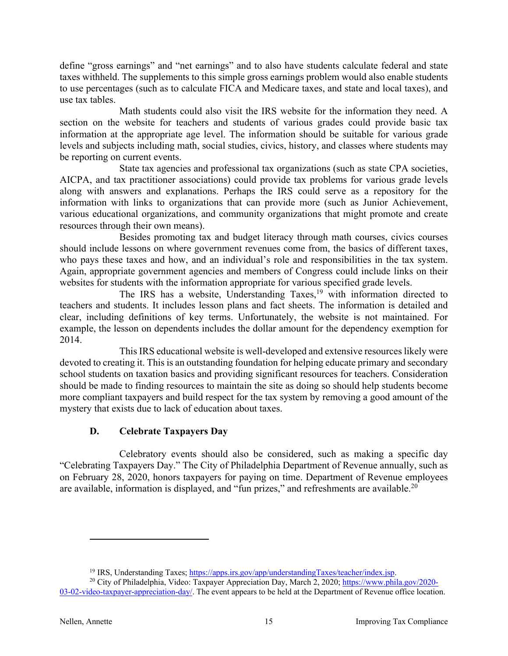define "gross earnings" and "net earnings" and to also have students calculate federal and state taxes withheld. The supplements to this simple gross earnings problem would also enable students to use percentages (such as to calculate FICA and Medicare taxes, and state and local taxes), and use tax tables.

Math students could also visit the IRS website for the information they need. A section on the website for teachers and students of various grades could provide basic tax information at the appropriate age level. The information should be suitable for various grade levels and subjects including math, social studies, civics, history, and classes where students may be reporting on current events.

State tax agencies and professional tax organizations (such as state CPA societies, AICPA, and tax practitioner associations) could provide tax problems for various grade levels along with answers and explanations. Perhaps the IRS could serve as a repository for the information with links to organizations that can provide more (such as Junior Achievement, various educational organizations, and community organizations that might promote and create resources through their own means).

Besides promoting tax and budget literacy through math courses, civics courses should include lessons on where government revenues come from, the basics of different taxes, who pays these taxes and how, and an individual's role and responsibilities in the tax system. Again, appropriate government agencies and members of Congress could include links on their websites for students with the information appropriate for various specified grade levels.

The IRS has a website, Understanding Taxes,<sup>19</sup> with information directed to teachers and students. It includes lesson plans and fact sheets. The information is detailed and clear, including definitions of key terms. Unfortunately, the website is not maintained. For example, the lesson on dependents includes the dollar amount for the dependency exemption for 2014.

This IRS educational website is well-developed and extensive resources likely were devoted to creating it. This is an outstanding foundation for helping educate primary and secondary school students on taxation basics and providing significant resources for teachers. Consideration should be made to finding resources to maintain the site as doing so should help students become more compliant taxpayers and build respect for the tax system by removing a good amount of the mystery that exists due to lack of education about taxes.

### **D. Celebrate Taxpayers Day**

Celebratory events should also be considered, such as making a specific day "Celebrating Taxpayers Day." The City of Philadelphia Department of Revenue annually, such as on February 28, 2020, honors taxpayers for paying on time. Department of Revenue employees are available, information is displayed, and "fun prizes," and refreshments are available.<sup>20</sup>

<sup>&</sup>lt;sup>19</sup> IRS, Understanding Taxes; https://apps.irs.gov/app/understandingTaxes/teacher/index.jsp.  $^{20}$  City of Philadelphia, Video: Taxpayer Appreciation Day, March 2, 2020; https://www.phila.gov/2020-

<sup>03-02-</sup>video-taxpayer-appreciation-day/. The event appears to be held at the Department of Revenue office location.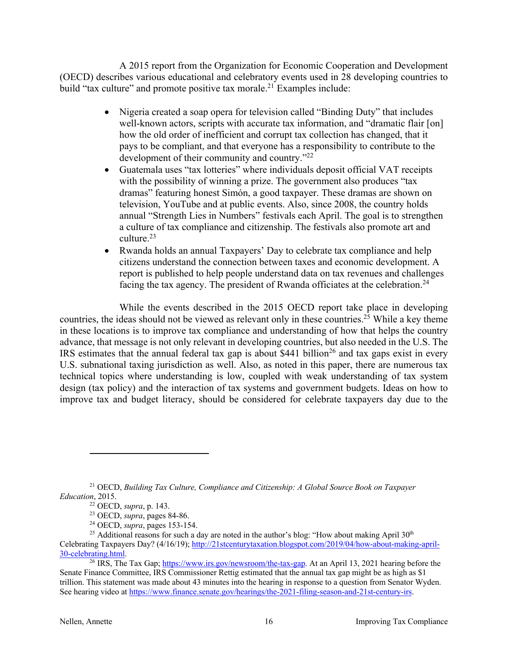A 2015 report from the Organization for Economic Cooperation and Development (OECD) describes various educational and celebratory events used in 28 developing countries to build "tax culture" and promote positive tax morale.<sup>21</sup> Examples include:

- Nigeria created a soap opera for television called "Binding Duty" that includes well-known actors, scripts with accurate tax information, and "dramatic flair [on] how the old order of inefficient and corrupt tax collection has changed, that it pays to be compliant, and that everyone has a responsibility to contribute to the development of their community and country."22
- Guatemala uses "tax lotteries" where individuals deposit official VAT receipts with the possibility of winning a prize. The government also produces "tax dramas" featuring honest Simón, a good taxpayer. These dramas are shown on television, YouTube and at public events. Also, since 2008, the country holds annual "Strength Lies in Numbers" festivals each April. The goal is to strengthen a culture of tax compliance and citizenship. The festivals also promote art and culture.23
- Rwanda holds an annual Taxpayers' Day to celebrate tax compliance and help citizens understand the connection between taxes and economic development. A report is published to help people understand data on tax revenues and challenges facing the tax agency. The president of Rwanda officiates at the celebration.<sup>24</sup>

While the events described in the 2015 OECD report take place in developing countries, the ideas should not be viewed as relevant only in these countries.<sup>25</sup> While a key theme in these locations is to improve tax compliance and understanding of how that helps the country advance, that message is not only relevant in developing countries, but also needed in the U.S. The IRS estimates that the annual federal tax gap is about \$441 billion<sup>26</sup> and tax gaps exist in every U.S. subnational taxing jurisdiction as well. Also, as noted in this paper, there are numerous tax technical topics where understanding is low, coupled with weak understanding of tax system design (tax policy) and the interaction of tax systems and government budgets. Ideas on how to improve tax and budget literacy, should be considered for celebrate taxpayers day due to the

<sup>21</sup> OECD, *Building Tax Culture, Compliance and Citizenship: A Global Source Book on Taxpayer Education*, 2015.

<sup>22</sup> OECD, *supra*, p. 143.

<sup>23</sup> OECD, *supra*, pages 84-86.

<sup>24</sup> OECD, *supra*, pages 153-154.

<sup>&</sup>lt;sup>25</sup> Additional reasons for such a day are noted in the author's blog: "How about making April  $30<sup>th</sup>$ Celebrating Taxpayers Day? (4/16/19); http://21stcenturytaxation.blogspot.com/2019/04/how-about-making-april-30-celebrating.html.

<sup>&</sup>lt;sup>26</sup> IRS, The Tax Gap; https://www.irs.gov/newsroom/the-tax-gap. At an April 13, 2021 hearing before the Senate Finance Committee, IRS Commissioner Rettig estimated that the annual tax gap might be as high as \$1 trillion. This statement was made about 43 minutes into the hearing in response to a question from Senator Wyden. See hearing video at https://www.finance.senate.gov/hearings/the-2021-filing-season-and-21st-century-irs.